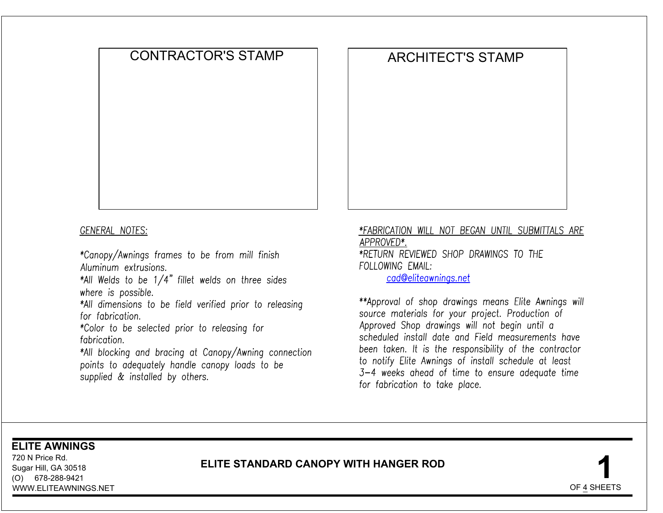# CONTRACTOR'S STAMP ARCHITECT'S STAMP **120 CONTRACTOR'S STAMP**<br> **120 NEWS CONTRACTOR'S STAMP**<br> **120 NEWS CONTRACTOR'S STAMP**<br> **120 NEWS CONTRACTOR'S**<br> **120 NEWS CONTRACTOR'S**<br> **120 NEWS CONTRACTOR'S**<br> **120 NEWS CONTRACTOR'S**<br> **120 NEWS CONTRACTOR'S**<br> **120 NEW**

For torneoration.<br>
Folior to be selected prior to releasing for<br>
for the selected prior to releasing for<br>
for the locating and bracing at Canopy/Awning connection<br>  $*Al$  blocking ond frequently broads to be<br>
points to dequa

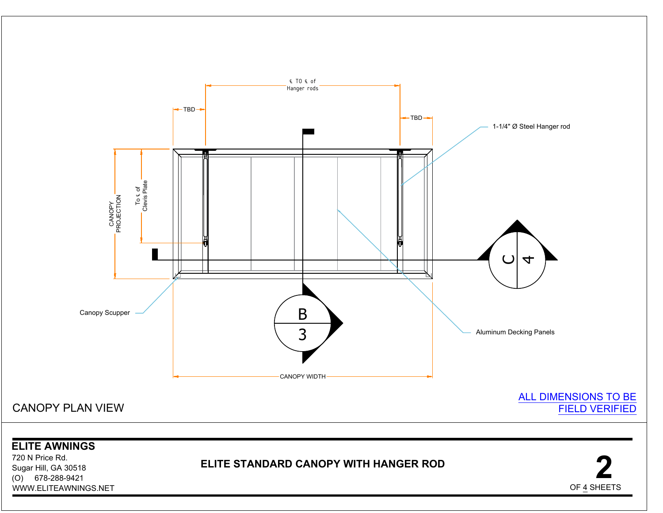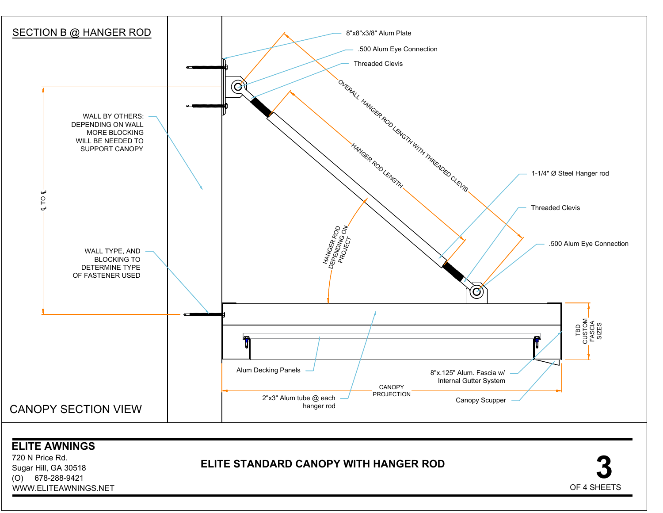